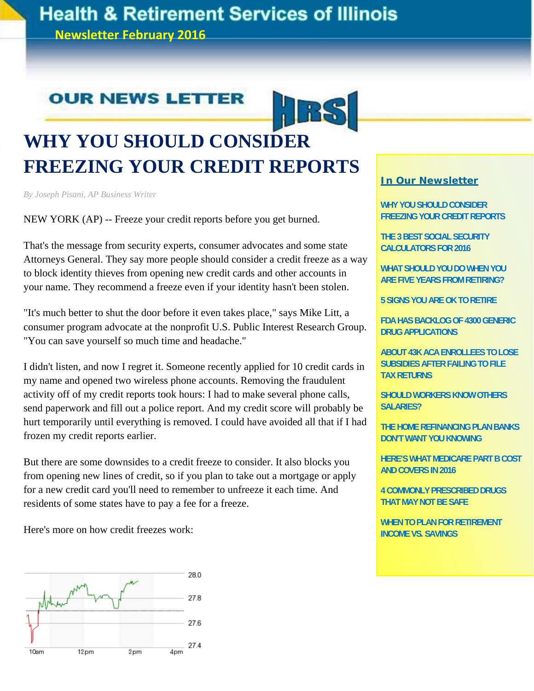# **Health & Retirement Services of Illinois**

**Newsletter February 2016**

## **OUR NEWS LETTER**



# **WHY YOU SHOULD CONSIDER FREEZING YOUR CREDIT REPORTS**

*By Joseph Pisani, AP Business Writer*

NEW YORK (AP) -- Freeze your credit reports before you get burned.

That's the message from security experts, consumer advocates and some state Attorneys General. They say more people should consider a credit freeze as a way to block identity thieves from opening new credit cards and other accounts in your name. They recommend a freeze even if your identity hasn't been stolen.

"It's much better to shut the door before it even takes place," says Mike Litt, a consumer program advocate at the nonprofit U.S. Public Interest Research Group. "You can save yourself so much time and headache."

I didn't listen, and now I regret it. Someone recently applied for 10 credit cards in my name and opened two wireless phone accounts. Removing the fraudulent activity off of my credit reports took hours: I had to make several phone calls, send paperwork and fill out a police report. And my credit score will probably be hurt temporarily until everything is removed. I could have avoided all that if I had frozen my credit reports earlier.

But there are some downsides to a credit freeze to consider. It also blocks you from opening new lines of credit, so if you plan to take out a mortgage or apply for a new credit card you'll need to remember to unfreeze it each time. And residents of some states have to pay a fee for a freeze.

Here's more on how credit freezes work:



**WHY YOU SHOULD CONSIDER FREEZING YOUR CREDIT REPORTS** 

**THE 3 BEST SOCIAL SECURITY CALCULATORS FOR 2016** 

**WHAT SHOULD YOU DO WHEN YOU ARE FIVE YEARS FROM RETIRING?** 

**5 SIGNS YOU ARE OK TO RETIRE** 

**FDA HAS BACKLOG OF 4300 GENERIC DRUG APPLICATIONS** 

**ABOUT 43K ACA ENROLLEES TO LOSE SUBSIDIES AFTER FAILING TO FILE TAX RETURNS** 

**SHOULD WORKERS KNOW OTHERS SALARIES?** 

**THE HOME REFINANCING PLAN BANKS DON'T WANT YOU KNOWING** 

**HERE'S WHAT MEDICARE PART B COST AND COVERS IN 2016** 

**4 COMMONLY PRESCRIBED DRUGS THAT MAY NOT BE SAFE** 

**WHEN TO PLAN FOR RETIREMENT INCOME VS. SAVINGS**

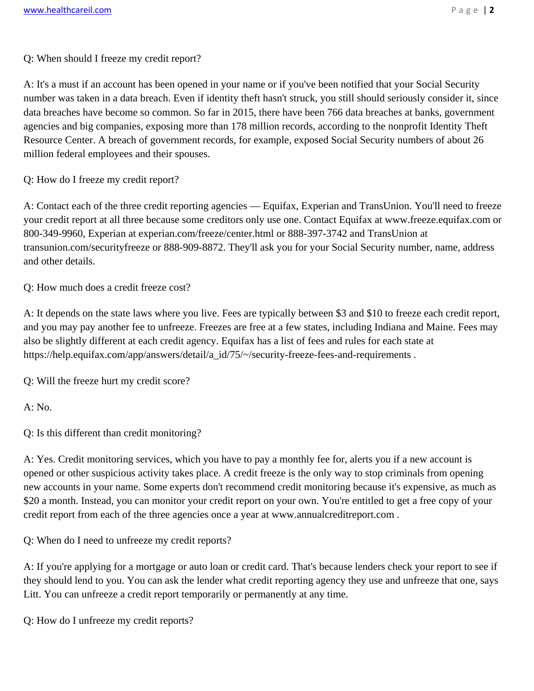A: It's a must if an account has been opened in your name or if you've been notified that your Social Security number was taken in a data breach. Even if identity theft hasn't struck, you still should seriously consider it, since data breaches have become so common. So far in 2015, there have been 766 data breaches at banks, government agencies and big companies, exposing more than 178 million records, according to the nonprofit Identity Theft Resource Center. A breach of government records, for example, exposed Social Security numbers of about 26 million federal employees and their spouses.

Q: How do I freeze my credit report?

A: Contact each of the three credit reporting agencies — Equifax, Experian and TransUnion. You'll need to freeze your credit report at all three because some creditors only use one. Contact Equifax at www.freeze.equifax.com or 800-349-9960, Experian at experian.com/freeze/center.html or 888-397-3742 and TransUnion at transunion.com/securityfreeze or 888-909-8872. They'll ask you for your Social Security number, name, address and other details.

Q: How much does a credit freeze cost?

A: It depends on the state laws where you live. Fees are typically between \$3 and \$10 to freeze each credit report, and you may pay another fee to unfreeze. Freezes are free at a few states, including Indiana and Maine. Fees may also be slightly different at each credit agency. Equifax has a list of fees and rules for each state at https://help.equifax.com/app/answers/detail/a\_id/75/~/security-freeze-fees-and-requirements .

Q: Will the freeze hurt my credit score?

A: No.

Q: Is this different than credit monitoring?

A: Yes. Credit monitoring services, which you have to pay a monthly fee for, alerts you if a new account is opened or other suspicious activity takes place. A credit freeze is the only way to stop criminals from opening new accounts in your name. Some experts don't recommend credit monitoring because it's expensive, as much as \$20 a month. Instead, you can monitor your credit report on your own. You're entitled to get a free copy of your credit report from each of the three agencies once a year at www.annualcreditreport.com .

Q: When do I need to unfreeze my credit reports?

A: If you're applying for a mortgage or auto loan or credit card. That's because lenders check your report to see if they should lend to you. You can ask the lender what credit reporting agency they use and unfreeze that one, says Litt. You can unfreeze a credit report temporarily or permanently at any time.

Q: How do I unfreeze my credit reports?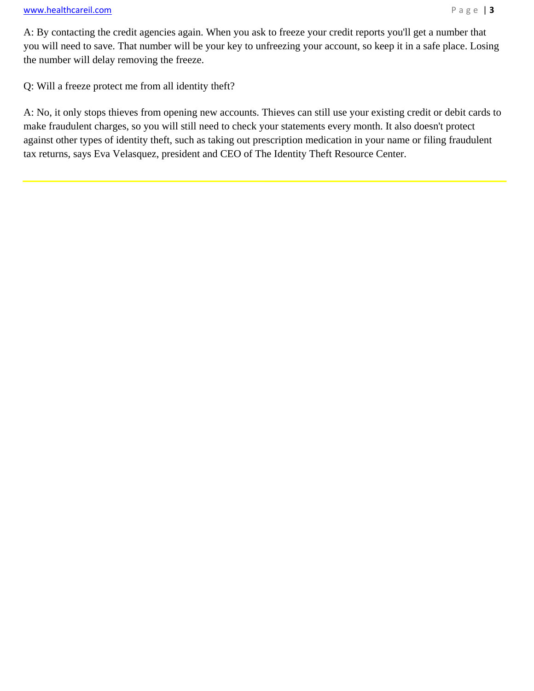A: By contacting the credit agencies again. When you ask to freeze your credit reports you'll get a number that you will need to save. That number will be your key to unfreezing your account, so keep it in a safe place. Losing the number will delay removing the freeze.

Q: Will a freeze protect me from all identity theft?

A: No, it only stops thieves from opening new accounts. Thieves can still use your existing credit or debit cards to make fraudulent charges, so you will still need to check your statements every month. It also doesn't protect against other types of identity theft, such as taking out prescription medication in your name or filing fraudulent tax returns, says Eva Velasquez, president and CEO of The Identity Theft Resource Center.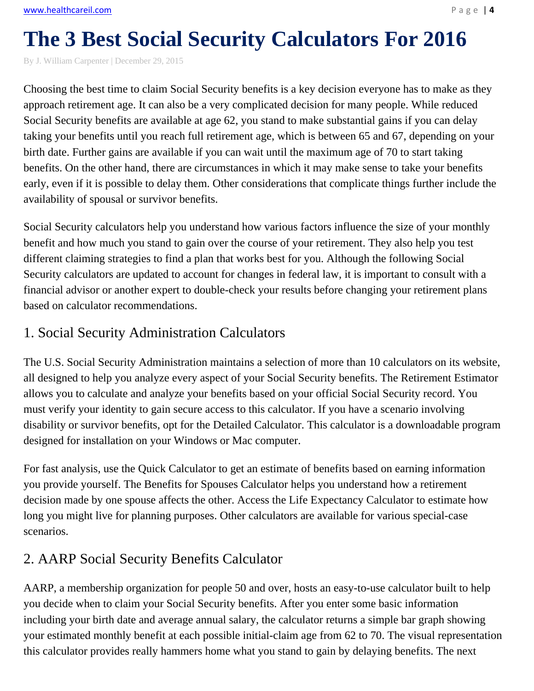# **The 3 Best Social Security Calculators For 2016**

By J. William Carpenter | December 29, 2015

Choosing the best time to claim Social Security benefits is a key decision everyone has to make as they approach retirement age. It can also be a very complicated decision for many people. While reduced Social Security benefits are available at age 62, you stand to make substantial gains if you can delay taking your benefits until you reach full retirement age, which is between 65 and 67, depending on your birth date. Further gains are available if you can wait until the maximum age of 70 to start taking benefits. On the other hand, there are circumstances in which it may make sense to take your benefits early, even if it is possible to delay them. Other considerations that complicate things further include the availability of spousal or survivor benefits.

Social Security calculators help you understand how various factors influence the size of your monthly benefit and how much you stand to gain over the course of your retirement. They also help you test different claiming strategies to find a plan that works best for you. Although the following Social Security calculators are updated to account for changes in federal law, it is important to consult with a financial advisor or another expert to double-check your results before changing your retirement plans based on calculator recommendations.

## 1. Social Security Administration Calculators

The U.S. Social Security Administration maintains a selection of more than 10 calculators on its website, all designed to help you analyze every aspect of your Social Security benefits. The Retirement Estimator allows you to calculate and analyze your benefits based on your official Social Security record. You must verify your identity to gain secure access to this calculator. If you have a scenario involving disability or survivor benefits, opt for the Detailed Calculator. This calculator is a downloadable program designed for installation on your Windows or Mac computer.

For fast analysis, use the Quick Calculator to get an estimate of benefits based on earning information you provide yourself. The Benefits for Spouses Calculator helps you understand how a retirement decision made by one spouse affects the other. Access the Life Expectancy Calculator to estimate how long you might live for planning purposes. Other calculators are available for various special-case scenarios.

## 2. AARP Social Security Benefits Calculator

AARP, a membership organization for people 50 and over, hosts an easy-to-use calculator built to help you decide when to claim your Social Security benefits. After you enter some basic information including your birth date and average annual salary, the calculator returns a simple bar graph showing your estimated monthly benefit at each possible initial-claim age from 62 to 70. The visual representation this calculator provides really hammers home what you stand to gain by delaying benefits. The next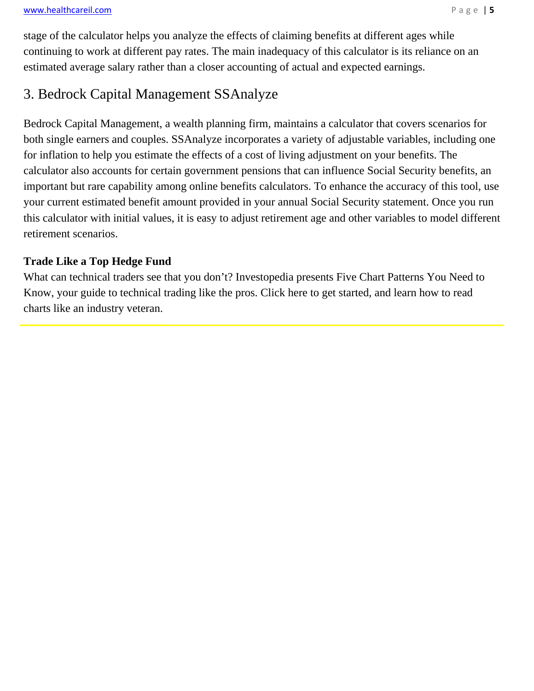stage of the calculator helps you analyze the effects of claiming benefits at different ages while continuing to work at different pay rates. The main inadequacy of this calculator is its reliance on an estimated average salary rather than a closer accounting of actual and expected earnings.

### 3. Bedrock Capital Management SSAnalyze

Bedrock Capital Management, a wealth planning firm, maintains a calculator that covers scenarios for both single earners and couples. SSAnalyze incorporates a variety of adjustable variables, including one for inflation to help you estimate the effects of a cost of living adjustment on your benefits. The calculator also accounts for certain government pensions that can influence Social Security benefits, an important but rare capability among online benefits calculators. To enhance the accuracy of this tool, use your current estimated benefit amount provided in your annual Social Security statement. Once you run this calculator with initial values, it is easy to adjust retirement age and other variables to model different retirement scenarios.

### **Trade Like a Top Hedge Fund**

What can technical traders see that you don't? Investopedia presents Five Chart Patterns You Need to Know, your guide to technical trading like the pros. Click here to get started, and learn how to read charts like an industry veteran.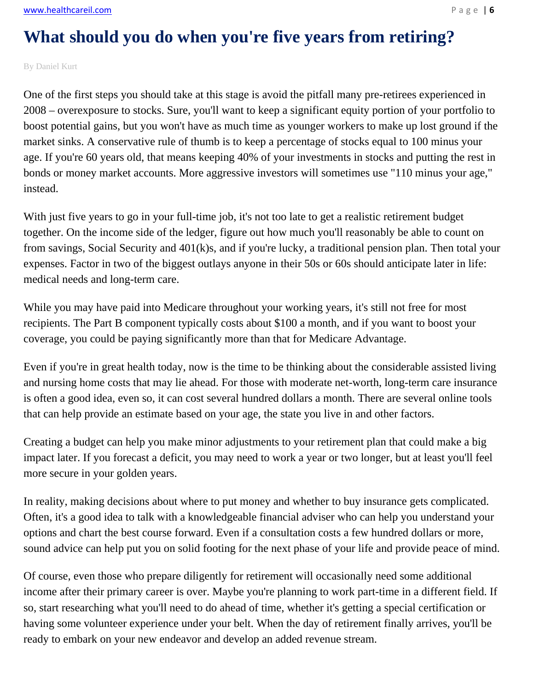www.healthcareil.com **Page | 6** 

# **What should you do when you're five years from retiring?**

By Daniel Kurt

One of the first steps you should take at this stage is avoid the pitfall many pre-retirees experienced in 2008 – overexposure to stocks. Sure, you'll want to keep a significant equity portion of your portfolio to boost potential gains, but you won't have as much time as younger workers to make up lost ground if the market sinks. A conservative rule of thumb is to keep a percentage of stocks equal to 100 minus your age. If you're 60 years old, that means keeping 40% of your investments in stocks and putting the rest in bonds or money market accounts. More aggressive investors will sometimes use "110 minus your age," instead.

With just five years to go in your full-time job, it's not too late to get a realistic retirement budget together. On the income side of the ledger, figure out how much you'll reasonably be able to count on from savings, Social Security and 401(k)s, and if you're lucky, a traditional pension plan. Then total your expenses. Factor in two of the biggest outlays anyone in their 50s or 60s should anticipate later in life: medical needs and long-term care.

While you may have paid into Medicare throughout your working years, it's still not free for most recipients. The Part B component typically costs about \$100 a month, and if you want to boost your coverage, you could be paying significantly more than that for Medicare Advantage.

Even if you're in great health today, now is the time to be thinking about the considerable assisted living and nursing home costs that may lie ahead. For those with moderate net-worth, long-term care insurance is often a good idea, even so, it can cost several hundred dollars a month. There are several online tools that can help provide an estimate based on your age, the state you live in and other factors.

Creating a budget can help you make minor adjustments to your retirement plan that could make a big impact later. If you forecast a deficit, you may need to work a year or two longer, but at least you'll feel more secure in your golden years.

In reality, making decisions about where to put money and whether to buy insurance gets complicated. Often, it's a good idea to talk with a knowledgeable financial adviser who can help you understand your options and chart the best course forward. Even if a consultation costs a few hundred dollars or more, sound advice can help put you on solid footing for the next phase of your life and provide peace of mind.

Of course, even those who prepare diligently for retirement will occasionally need some additional income after their primary career is over. Maybe you're planning to work part-time in a different field. If so, start researching what you'll need to do ahead of time, whether it's getting a special certification or having some volunteer experience under your belt. When the day of retirement finally arrives, you'll be ready to embark on your new endeavor and develop an added revenue stream.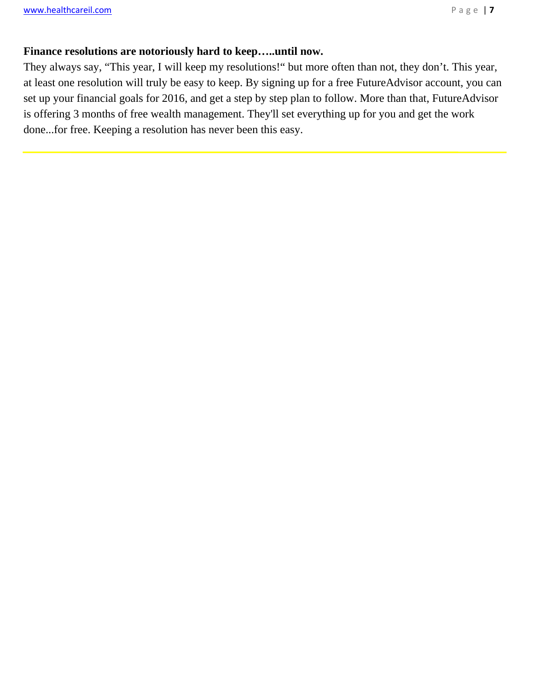$\overline{a}$ 

#### **Finance resolutions are notoriously hard to keep…..until now.**

They always say, "This year, I will keep my resolutions!" but more often than not, they don't. This year, at least one resolution will truly be easy to keep. By signing up for a free FutureAdvisor account, you can set up your financial goals for 2016, and get a step by step plan to follow. More than that, FutureAdvisor is offering 3 months of free wealth management. They'll set everything up for you and get the work done...for free. Keeping a resolution has never been this easy.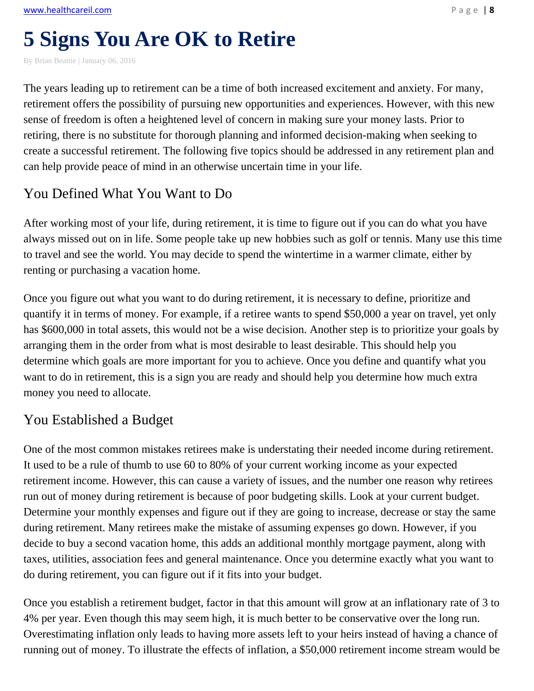# **5 Signs You Are OK to Retire**

By Brian Beattie | January 06, 2016

The years leading up to retirement can be a time of both increased excitement and anxiety. For many, retirement offers the possibility of pursuing new opportunities and experiences. However, with this new sense of freedom is often a heightened level of concern in making sure your money lasts. Prior to retiring, there is no substitute for thorough planning and informed decision-making when seeking to create a successful retirement. The following five topics should be addressed in any retirement plan and can help provide peace of mind in an otherwise uncertain time in your life.

### You Defined What You Want to Do

After working most of your life, during retirement, it is time to figure out if you can do what you have always missed out on in life. Some people take up new hobbies such as golf or tennis. Many use this time to travel and see the world. You may decide to spend the wintertime in a warmer climate, either by renting or purchasing a vacation home.

Once you figure out what you want to do during retirement, it is necessary to define, prioritize and quantify it in terms of money. For example, if a retiree wants to spend \$50,000 a year on travel, yet only has \$600,000 in total assets, this would not be a wise decision. Another step is to prioritize your goals by arranging them in the order from what is most desirable to least desirable. This should help you determine which goals are more important for you to achieve. Once you define and quantify what you want to do in retirement, this is a sign you are ready and should help you determine how much extra money you need to allocate.

### You Established a Budget

One of the most common mistakes retirees make is understating their needed income during retirement. It used to be a rule of thumb to use 60 to 80% of your current working income as your expected retirement income. However, this can cause a variety of issues, and the number one reason why retirees run out of money during retirement is because of poor budgeting skills. Look at your current budget. Determine your monthly expenses and figure out if they are going to increase, decrease or stay the same during retirement. Many retirees make the mistake of assuming expenses go down. However, if you decide to buy a second vacation home, this adds an additional monthly mortgage payment, along with taxes, utilities, association fees and general maintenance. Once you determine exactly what you want to do during retirement, you can figure out if it fits into your budget.

Once you establish a retirement budget, factor in that this amount will grow at an inflationary rate of 3 to 4% per year. Even though this may seem high, it is much better to be conservative over the long run. Overestimating inflation only leads to having more assets left to your heirs instead of having a chance of running out of money. To illustrate the effects of inflation, a \$50,000 retirement income stream would be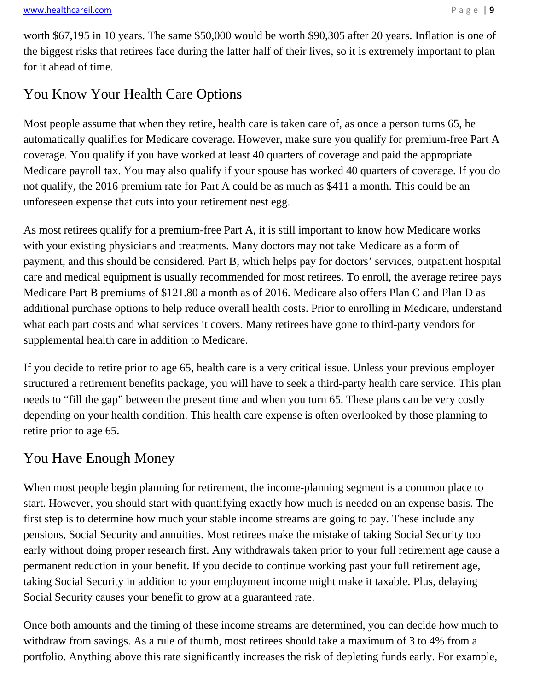worth \$67,195 in 10 years. The same \$50,000 would be worth \$90,305 after 20 years. Inflation is one of the biggest risks that retirees face during the latter half of their lives, so it is extremely important to plan for it ahead of time.

## You Know Your Health Care Options

Most people assume that when they retire, health care is taken care of, as once a person turns 65, he automatically qualifies for Medicare coverage. However, make sure you qualify for premium-free Part A coverage. You qualify if you have worked at least 40 quarters of coverage and paid the appropriate Medicare payroll tax. You may also qualify if your spouse has worked 40 quarters of coverage. If you do not qualify, the 2016 premium rate for Part A could be as much as \$411 a month. This could be an unforeseen expense that cuts into your retirement nest egg.

As most retirees qualify for a premium-free Part A, it is still important to know how Medicare works with your existing physicians and treatments. Many doctors may not take Medicare as a form of payment, and this should be considered. Part B, which helps pay for doctors' services, outpatient hospital care and medical equipment is usually recommended for most retirees. To enroll, the average retiree pays Medicare Part B premiums of \$121.80 a month as of 2016. Medicare also offers Plan C and Plan D as additional purchase options to help reduce overall health costs. Prior to enrolling in Medicare, understand what each part costs and what services it covers. Many retirees have gone to third-party vendors for supplemental health care in addition to Medicare.

If you decide to retire prior to age 65, health care is a very critical issue. Unless your previous employer structured a retirement benefits package, you will have to seek a third-party health care service. This plan needs to "fill the gap" between the present time and when you turn 65. These plans can be very costly depending on your health condition. This health care expense is often overlooked by those planning to retire prior to age 65.

## You Have Enough Money

When most people begin planning for retirement, the income-planning segment is a common place to start. However, you should start with quantifying exactly how much is needed on an expense basis. The first step is to determine how much your stable income streams are going to pay. These include any pensions, Social Security and annuities. Most retirees make the mistake of taking Social Security too early without doing proper research first. Any withdrawals taken prior to your full retirement age cause a permanent reduction in your benefit. If you decide to continue working past your full retirement age, taking Social Security in addition to your employment income might make it taxable. Plus, delaying Social Security causes your benefit to grow at a guaranteed rate.

Once both amounts and the timing of these income streams are determined, you can decide how much to withdraw from savings. As a rule of thumb, most retirees should take a maximum of 3 to 4% from a portfolio. Anything above this rate significantly increases the risk of depleting funds early. For example,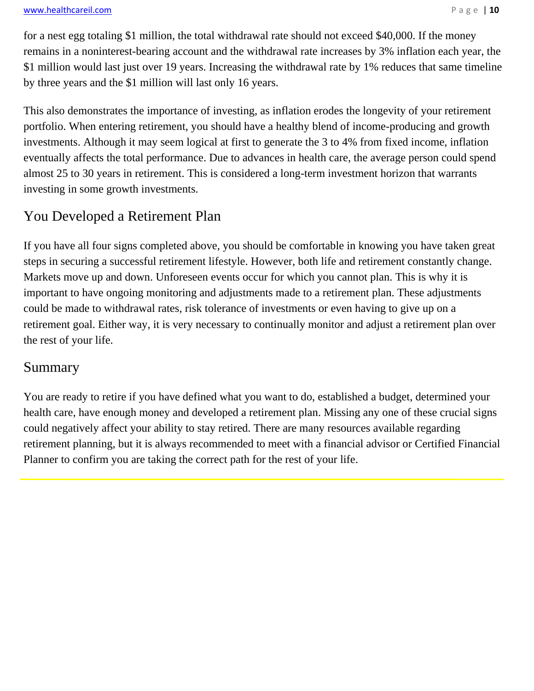#### www.healthcareil.com **Page | 10**

for a nest egg totaling \$1 million, the total withdrawal rate should not exceed \$40,000. If the money remains in a noninterest-bearing account and the withdrawal rate increases by 3% inflation each year, the \$1 million would last just over 19 years. Increasing the withdrawal rate by 1% reduces that same timeline by three years and the \$1 million will last only 16 years.

This also demonstrates the importance of investing, as inflation erodes the longevity of your retirement portfolio. When entering retirement, you should have a healthy blend of income-producing and growth investments. Although it may seem logical at first to generate the 3 to 4% from fixed income, inflation eventually affects the total performance. Due to advances in health care, the average person could spend almost 25 to 30 years in retirement. This is considered a long-term investment horizon that warrants investing in some growth investments.

### You Developed a Retirement Plan

If you have all four signs completed above, you should be comfortable in knowing you have taken great steps in securing a successful retirement lifestyle. However, both life and retirement constantly change. Markets move up and down. Unforeseen events occur for which you cannot plan. This is why it is important to have ongoing monitoring and adjustments made to a retirement plan. These adjustments could be made to withdrawal rates, risk tolerance of investments or even having to give up on a retirement goal. Either way, it is very necessary to continually monitor and adjust a retirement plan over the rest of your life.

### Summary

You are ready to retire if you have defined what you want to do, established a budget, determined your health care, have enough money and developed a retirement plan. Missing any one of these crucial signs could negatively affect your ability to stay retired. There are many resources available regarding retirement planning, but it is always recommended to meet with a financial advisor or Certified Financial Planner to confirm you are taking the correct path for the rest of your life.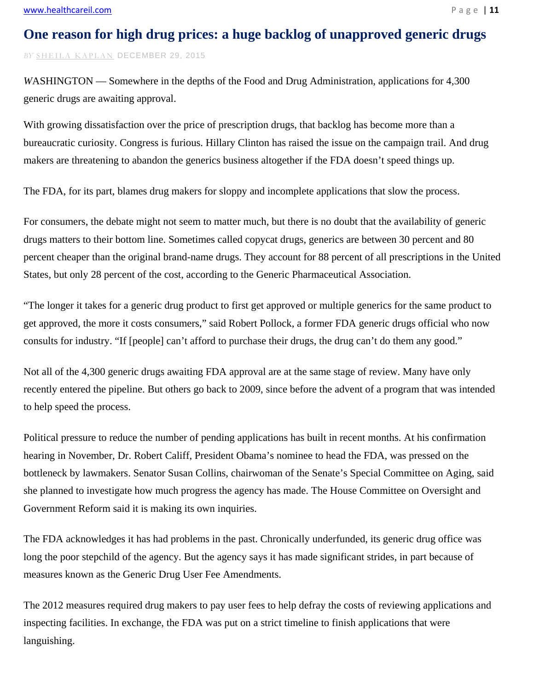### **One reason for high drug prices: a huge backlog of unapproved generic drugs**

*BY* SHEILA KAPLAN DECEMBER 29, 2015

*WASHINGTON* — Somewhere in the depths of the Food and Drug Administration, applications for 4,300 generic drugs are awaiting approval.

With growing dissatisfaction over the price of prescription drugs, that backlog has become more than a bureaucratic curiosity. Congress is furious. Hillary Clinton has raised the issue on the campaign trail. And drug makers are threatening to abandon the generics business altogether if the FDA doesn't speed things up.

The FDA, for its part, blames drug makers for sloppy and incomplete applications that slow the process.

For consumers, the debate might not seem to matter much, but there is no doubt that the availability of generic drugs matters to their bottom line. Sometimes called copycat drugs, generics are between 30 percent and 80 percent cheaper than the original brand-name drugs. They account for 88 percent of all prescriptions in the United States, but only 28 percent of the cost, according to the Generic Pharmaceutical Association.

"The longer it takes for a generic drug product to first get approved or multiple generics for the same product to get approved, the more it costs consumers," said Robert Pollock, a former FDA generic drugs official who now consults for industry. "If [people] can't afford to purchase their drugs, the drug can't do them any good."

Not all of the 4,300 generic drugs awaiting FDA approval are at the same stage of review. Many have only recently entered the pipeline. But others go back to 2009, since before the advent of a program that was intended to help speed the process.

Political pressure to reduce the number of pending applications has built in recent months. At his confirmation hearing in November, Dr. Robert Califf, President Obama's nominee to head the FDA, was pressed on the bottleneck by lawmakers. Senator Susan Collins, chairwoman of the Senate's Special Committee on Aging, said she planned to investigate how much progress the agency has made. The House Committee on Oversight and Government Reform said it is making its own inquiries.

The FDA acknowledges it has had problems in the past. Chronically underfunded, its generic drug office was long the poor stepchild of the agency. But the agency says it has made significant strides, in part because of measures known as the Generic Drug User Fee Amendments.

The 2012 measures required drug makers to pay user fees to help defray the costs of reviewing applications and inspecting facilities. In exchange, the FDA was put on a strict timeline to finish applications that were languishing.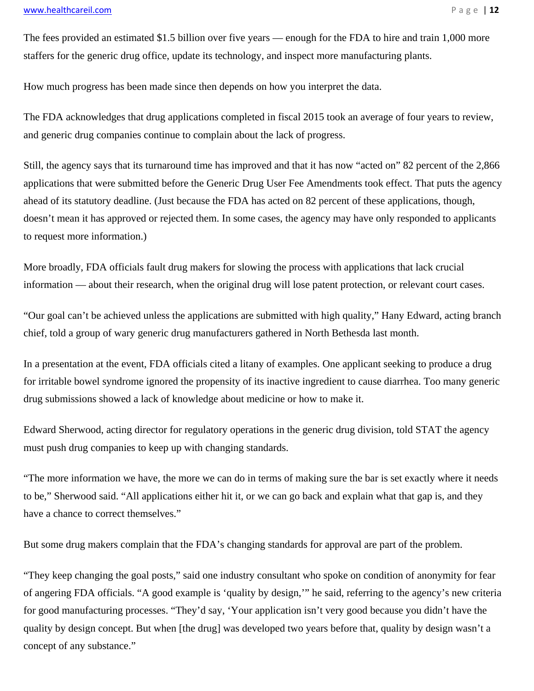#### www.healthcareil.com **Page | 12**

The fees provided an estimated \$1.5 billion over five years — enough for the FDA to hire and train 1,000 more staffers for the generic drug office, update its technology, and inspect more manufacturing plants.

How much progress has been made since then depends on how you interpret the data.

The FDA acknowledges that drug applications completed in fiscal 2015 took an average of four years to review, and generic drug companies continue to complain about the lack of progress.

Still, the agency says that its turnaround time has improved and that it has now "acted on" 82 percent of the 2,866 applications that were submitted before the Generic Drug User Fee Amendments took effect. That puts the agency ahead of its statutory deadline. (Just because the FDA has acted on 82 percent of these applications, though, doesn't mean it has approved or rejected them. In some cases, the agency may have only responded to applicants to request more information.)

More broadly, FDA officials fault drug makers for slowing the process with applications that lack crucial information — about their research, when the original drug will lose patent protection, or relevant court cases.

"Our goal can't be achieved unless the applications are submitted with high quality," Hany Edward, acting branch chief, told a group of wary generic drug manufacturers gathered in North Bethesda last month.

In a presentation at the event, FDA officials cited a litany of examples. One applicant seeking to produce a drug for irritable bowel syndrome ignored the propensity of its inactive ingredient to cause diarrhea. Too many generic drug submissions showed a lack of knowledge about medicine or how to make it.

Edward Sherwood, acting director for regulatory operations in the generic drug division, told STAT the agency must push drug companies to keep up with changing standards.

"The more information we have, the more we can do in terms of making sure the bar is set exactly where it needs to be," Sherwood said. "All applications either hit it, or we can go back and explain what that gap is, and they have a chance to correct themselves."

But some drug makers complain that the FDA's changing standards for approval are part of the problem.

"They keep changing the goal posts," said one industry consultant who spoke on condition of anonymity for fear of angering FDA officials. "A good example is 'quality by design,'" he said, referring to the agency's new criteria for good manufacturing processes. "They'd say, 'Your application isn't very good because you didn't have the quality by design concept. But when [the drug] was developed two years before that, quality by design wasn't a concept of any substance."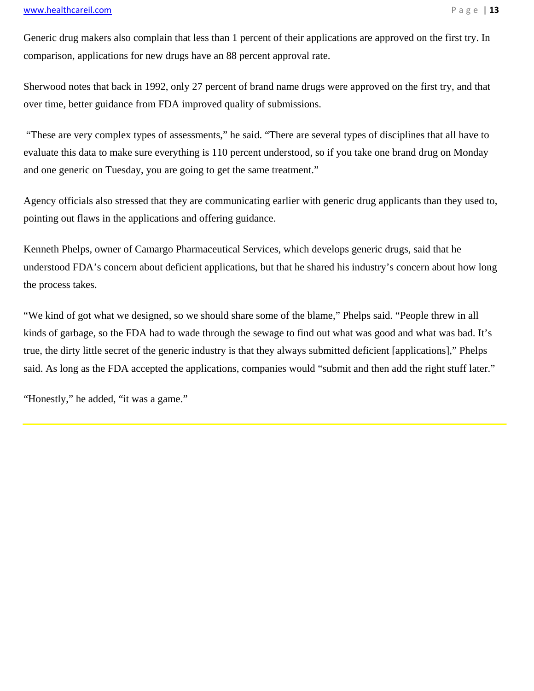#### www.healthcareil.com **Page | 13**

Generic drug makers also complain that less than 1 percent of their applications are approved on the first try. In comparison, applications for new drugs have an 88 percent approval rate.

Sherwood notes that back in 1992, only 27 percent of brand name drugs were approved on the first try, and that over time, better guidance from FDA improved quality of submissions.

 "These are very complex types of assessments," he said. "There are several types of disciplines that all have to evaluate this data to make sure everything is 110 percent understood, so if you take one brand drug on Monday and one generic on Tuesday, you are going to get the same treatment."

Agency officials also stressed that they are communicating earlier with generic drug applicants than they used to, pointing out flaws in the applications and offering guidance.

Kenneth Phelps, owner of Camargo Pharmaceutical Services, which develops generic drugs, said that he understood FDA's concern about deficient applications, but that he shared his industry's concern about how long the process takes.

"We kind of got what we designed, so we should share some of the blame," Phelps said. "People threw in all kinds of garbage, so the FDA had to wade through the sewage to find out what was good and what was bad. It's true, the dirty little secret of the generic industry is that they always submitted deficient [applications]," Phelps said. As long as the FDA accepted the applications, companies would "submit and then add the right stuff later."

"Honestly," he added, "it was a game."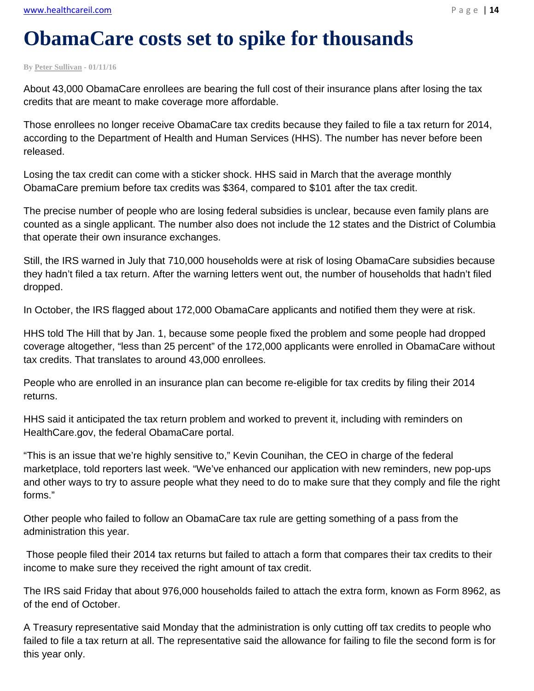# **ObamaCare costs set to spike for thousands**

**By Peter Sullivan - 01/11/16** 

About 43,000 ObamaCare enrollees are bearing the full cost of their insurance plans after losing the tax credits that are meant to make coverage more affordable.

Those enrollees no longer receive ObamaCare tax credits because they failed to file a tax return for 2014, according to the Department of Health and Human Services (HHS). The number has never before been released.

Losing the tax credit can come with a sticker shock. HHS said in March that the average monthly ObamaCare premium before tax credits was \$364, compared to \$101 after the tax credit.

The precise number of people who are losing federal subsidies is unclear, because even family plans are counted as a single applicant. The number also does not include the 12 states and the District of Columbia that operate their own insurance exchanges.

Still, the IRS warned in July that 710,000 households were at risk of losing ObamaCare subsidies because they hadn't filed a tax return. After the warning letters went out, the number of households that hadn't filed dropped.

In October, the IRS flagged about 172,000 ObamaCare applicants and notified them they were at risk.

HHS told The Hill that by Jan. 1, because some people fixed the problem and some people had dropped coverage altogether, "less than 25 percent" of the 172,000 applicants were enrolled in ObamaCare without tax credits. That translates to around 43,000 enrollees.

People who are enrolled in an insurance plan can become re-eligible for tax credits by filing their 2014 returns.

HHS said it anticipated the tax return problem and worked to prevent it, including with reminders on HealthCare.gov, the federal ObamaCare portal.

"This is an issue that we're highly sensitive to," Kevin Counihan, the CEO in charge of the federal marketplace, told reporters last week. "We've enhanced our application with new reminders, new pop-ups and other ways to try to assure people what they need to do to make sure that they comply and file the right forms."

Other people who failed to follow an ObamaCare tax rule are getting something of a pass from the administration this year.

 Those people filed their 2014 tax returns but failed to attach a form that compares their tax credits to their income to make sure they received the right amount of tax credit.

The IRS said Friday that about 976,000 households failed to attach the extra form, known as Form 8962, as of the end of October.

A Treasury representative said Monday that the administration is only cutting off tax credits to people who failed to file a tax return at all. The representative said the allowance for failing to file the second form is for this year only.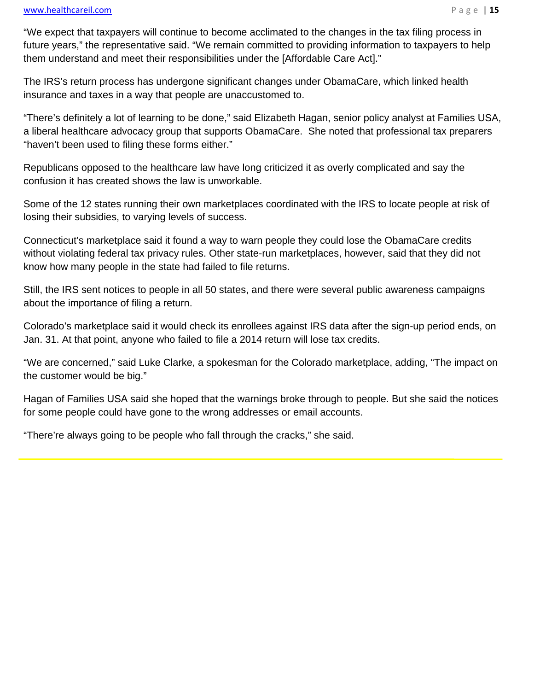l

"We expect that taxpayers will continue to become acclimated to the changes in the tax filing process in future years," the representative said. "We remain committed to providing information to taxpayers to help them understand and meet their responsibilities under the [Affordable Care Act]."

The IRS's return process has undergone significant changes under ObamaCare, which linked health insurance and taxes in a way that people are unaccustomed to.

"There's definitely a lot of learning to be done," said Elizabeth Hagan, senior policy analyst at Families USA, a liberal healthcare advocacy group that supports ObamaCare. She noted that professional tax preparers "haven't been used to filing these forms either."

Republicans opposed to the healthcare law have long criticized it as overly complicated and say the confusion it has created shows the law is unworkable.

Some of the 12 states running their own marketplaces coordinated with the IRS to locate people at risk of losing their subsidies, to varying levels of success.

Connecticut's marketplace said it found a way to warn people they could lose the ObamaCare credits without violating federal tax privacy rules. Other state-run marketplaces, however, said that they did not know how many people in the state had failed to file returns.

Still, the IRS sent notices to people in all 50 states, and there were several public awareness campaigns about the importance of filing a return.

Colorado's marketplace said it would check its enrollees against IRS data after the sign-up period ends, on Jan. 31. At that point, anyone who failed to file a 2014 return will lose tax credits.

"We are concerned," said Luke Clarke, a spokesman for the Colorado marketplace, adding, "The impact on the customer would be big."

Hagan of Families USA said she hoped that the warnings broke through to people. But she said the notices for some people could have gone to the wrong addresses or email accounts.

"There're always going to be people who fall through the cracks," she said.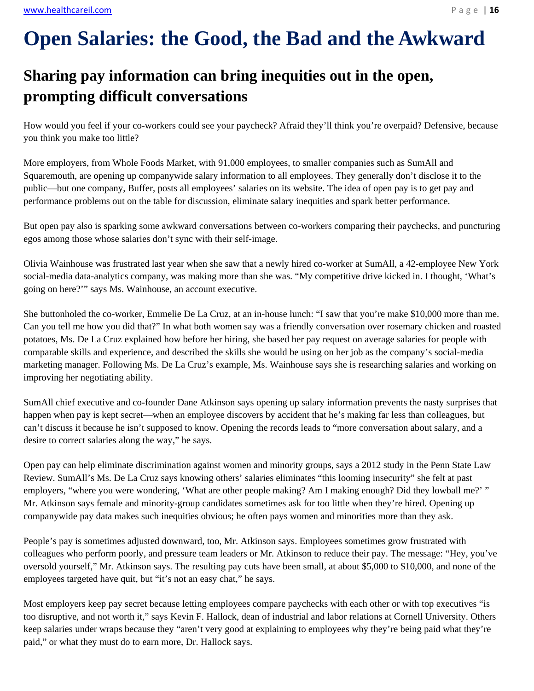# **Open Salaries: the Good, the Bad and the Awkward**

# **Sharing pay information can bring inequities out in the open, prompting difficult conversations**

How would you feel if your co-workers could see your paycheck? Afraid they'll think you're overpaid? Defensive, because you think you make too little?

More employers, from Whole Foods Market, with 91,000 employees, to smaller companies such as SumAll and Squaremouth, are opening up companywide salary information to all employees. They generally don't disclose it to the public—but one company, Buffer, posts all employees' salaries on its website. The idea of open pay is to get pay and performance problems out on the table for discussion, eliminate salary inequities and spark better performance.

But open pay also is sparking some awkward conversations between co-workers comparing their paychecks, and puncturing egos among those whose salaries don't sync with their self-image.

Olivia Wainhouse was frustrated last year when she saw that a newly hired co-worker at SumAll, a 42-employee New York social-media data-analytics company, was making more than she was. "My competitive drive kicked in. I thought, 'What's going on here?'" says Ms. Wainhouse, an account executive.

She buttonholed the co-worker, Emmelie De La Cruz, at an in-house lunch: "I saw that you're make \$10,000 more than me. Can you tell me how you did that?" In what both women say was a friendly conversation over rosemary chicken and roasted potatoes, Ms. De La Cruz explained how before her hiring, she based her pay request on average salaries for people with comparable skills and experience, and described the skills she would be using on her job as the company's social-media marketing manager. Following Ms. De La Cruz's example, Ms. Wainhouse says she is researching salaries and working on improving her negotiating ability.

SumAll chief executive and co-founder Dane Atkinson says opening up salary information prevents the nasty surprises that happen when pay is kept secret—when an employee discovers by accident that he's making far less than colleagues, but can't discuss it because he isn't supposed to know. Opening the records leads to "more conversation about salary, and a desire to correct salaries along the way," he says.

Open pay can help eliminate discrimination against women and minority groups, says a 2012 study in the Penn State Law Review. SumAll's Ms. De La Cruz says knowing others' salaries eliminates "this looming insecurity" she felt at past employers, "where you were wondering, 'What are other people making? Am I making enough? Did they lowball me?' " Mr. Atkinson says female and minority-group candidates sometimes ask for too little when they're hired. Opening up companywide pay data makes such inequities obvious; he often pays women and minorities more than they ask.

People's pay is sometimes adjusted downward, too, Mr. Atkinson says. Employees sometimes grow frustrated with colleagues who perform poorly, and pressure team leaders or Mr. Atkinson to reduce their pay. The message: "Hey, you've oversold yourself," Mr. Atkinson says. The resulting pay cuts have been small, at about \$5,000 to \$10,000, and none of the employees targeted have quit, but "it's not an easy chat," he says.

Most employers keep pay secret because letting employees compare paychecks with each other or with top executives "is too disruptive, and not worth it," says Kevin F. Hallock, dean of industrial and labor relations at Cornell University. Others keep salaries under wraps because they "aren't very good at explaining to employees why they're being paid what they're paid," or what they must do to earn more, Dr. Hallock says.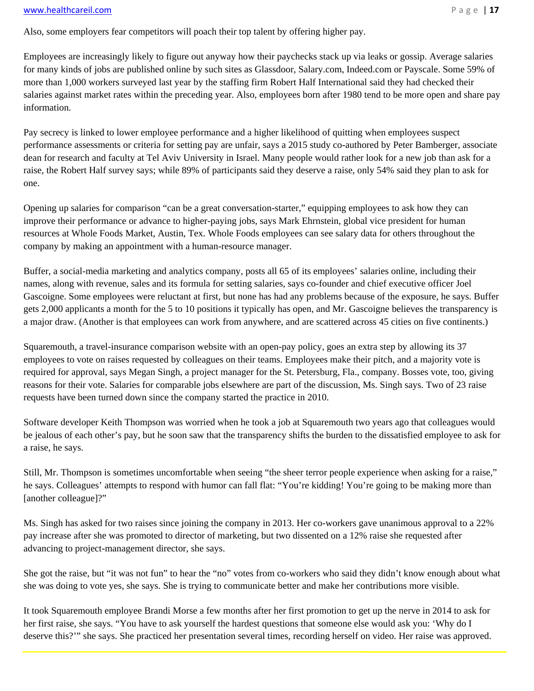#### www.healthcareil.com **Page | 17**

Also, some employers fear competitors will poach their top talent by offering higher pay.

Employees are increasingly likely to figure out anyway how their paychecks stack up via leaks or gossip. Average salaries for many kinds of jobs are published online by such sites as Glassdoor, Salary.com, Indeed.com or Payscale. Some 59% of more than 1,000 workers surveyed last year by the staffing firm Robert Half International said they had checked their salaries against market rates within the preceding year. Also, employees born after 1980 tend to be more open and share pay information.

Pay secrecy is linked to lower employee performance and a higher likelihood of quitting when employees suspect performance assessments or criteria for setting pay are unfair, says a 2015 study co-authored by Peter Bamberger, associate dean for research and faculty at Tel Aviv University in Israel. Many people would rather look for a new job than ask for a raise, the Robert Half survey says; while 89% of participants said they deserve a raise, only 54% said they plan to ask for one.

Opening up salaries for comparison "can be a great conversation-starter," equipping employees to ask how they can improve their performance or advance to higher-paying jobs, says Mark Ehrnstein, global vice president for human resources at Whole Foods Market, Austin, Tex. Whole Foods employees can see salary data for others throughout the company by making an appointment with a human-resource manager.

Buffer, a social-media marketing and analytics company, posts all 65 of its employees' salaries online, including their names, along with revenue, sales and its formula for setting salaries, says co-founder and chief executive officer Joel Gascoigne. Some employees were reluctant at first, but none has had any problems because of the exposure, he says. Buffer gets 2,000 applicants a month for the 5 to 10 positions it typically has open, and Mr. Gascoigne believes the transparency is a major draw. (Another is that employees can work from anywhere, and are scattered across 45 cities on five continents.)

Squaremouth, a travel-insurance comparison website with an open-pay policy, goes an extra step by allowing its 37 employees to vote on raises requested by colleagues on their teams. Employees make their pitch, and a majority vote is required for approval, says Megan Singh, a project manager for the St. Petersburg, Fla., company. Bosses vote, too, giving reasons for their vote. Salaries for comparable jobs elsewhere are part of the discussion, Ms. Singh says. Two of 23 raise requests have been turned down since the company started the practice in 2010.

Software developer Keith Thompson was worried when he took a job at Squaremouth two years ago that colleagues would be jealous of each other's pay, but he soon saw that the transparency shifts the burden to the dissatisfied employee to ask for a raise, he says.

Still, Mr. Thompson is sometimes uncomfortable when seeing "the sheer terror people experience when asking for a raise," he says. Colleagues' attempts to respond with humor can fall flat: "You're kidding! You're going to be making more than [another colleague]?"

Ms. Singh has asked for two raises since joining the company in 2013. Her co-workers gave unanimous approval to a 22% pay increase after she was promoted to director of marketing, but two dissented on a 12% raise she requested after advancing to project-management director, she says.

She got the raise, but "it was not fun" to hear the "no" votes from co-workers who said they didn't know enough about what she was doing to vote yes, she says. She is trying to communicate better and make her contributions more visible.

It took Squaremouth employee Brandi Morse a few months after her first promotion to get up the nerve in 2014 to ask for her first raise, she says. "You have to ask yourself the hardest questions that someone else would ask you: 'Why do I deserve this?'" she says. She practiced her presentation several times, recording herself on video. Her raise was approved.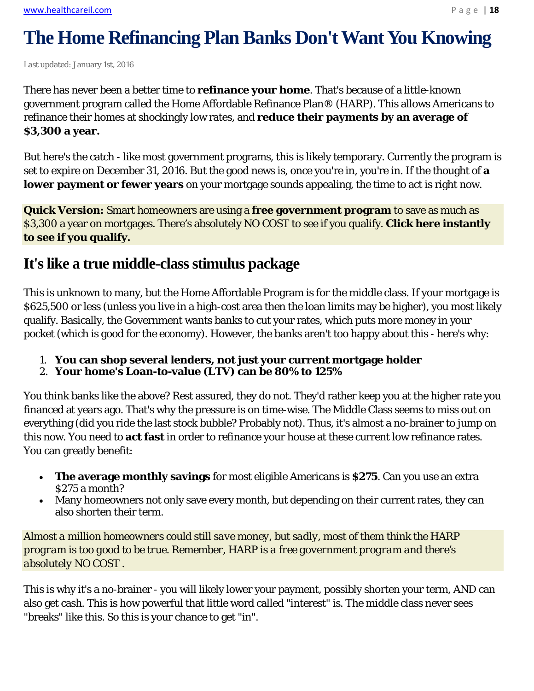# **The Home Refinancing Plan Banks Don't Want You Knowing**

Last updated: January 1st, 2016

There has never been a better time to **refinance your home**. That's because of a little-known government program called the Home Affordable Refinance Plan® (HARP). This allows Americans to refinance their homes at shockingly low rates, and **reduce their payments by an average of \$3,300 a year.**

But here's the catch - like most government programs, this is likely temporary. Currently the program is set to expire on December 31, 2016. But the good news is, once you're in, you're in. If the thought of **a lower payment or fewer years** on your mortgage sounds appealing, the time to act is right now.

**Quick Version:** Smart homeowners are using a **free government program** to save as much as \$3,300 a year on mortgages. There's absolutely NO COST to see if you qualify. **Click here instantly to see if you qualify.**

### **It's like a true middle-class stimulus package**

This is unknown to many, but the Home Affordable Program is for the middle class. If your mortgage is \$625,500 or less (unless you live in a high-cost area then the loan limits may be higher), you most likely qualify. Basically, the Government wants banks to cut your rates, which puts more money in your pocket (which is good for the economy). However, the banks aren't too happy about this - here's why:

- 1. **You can shop several lenders, not just your current mortgage holder**
- 2. **Your home's Loan-to-value (LTV) can be 80% to 125%**

You think banks like the above? Rest assured, they do not. They'd rather keep you at the higher rate you financed at years ago. That's why the pressure is on time-wise. The Middle Class seems to miss out on everything (did you ride the last stock bubble? Probably not). Thus, it's almost a no-brainer to jump on this now. You need to **act fast** in order to refinance your house at these current low refinance rates. You can greatly benefit:

- **The average monthly savings** for most eligible Americans is **\$275**. Can you use an extra \$275 a month?
- Many homeowners not only save every month, but depending on their current rates, they can also shorten their term.

*Almost a million homeowners could still save money, but sadly, most of them think the HARP program is too good to be true. Remember, HARP is a free government program and there's absolutely NO COST .*

This is why it's a no-brainer - you will likely lower your payment, possibly shorten your term, AND can also get cash. This is how powerful that little word called "interest" is. The middle class never sees "breaks" like this. So this is your chance to get "in".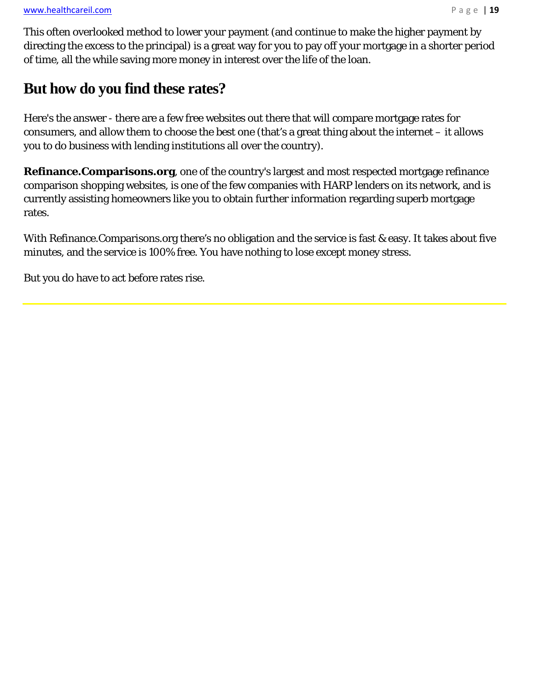This often overlooked method to lower your payment (and continue to make the higher payment by directing the excess to the principal) is a great way for you to pay off your mortgage in a shorter period of time, all the while saving more money in interest over the life of the loan.

## **But how do you find these rates?**

Here's the answer - there are a few free websites out there that will compare mortgage rates for consumers, and allow them to choose the best one (that's a great thing about the internet – it allows you to do business with lending institutions all over the country).

**Refinance.Comparisons.org**, one of the country's largest and most respected mortgage refinance comparison shopping websites, is one of the few companies with HARP lenders on its network, and is currently assisting homeowners like you to obtain further information regarding superb mortgage rates.

With Refinance.Comparisons.org there's no obligation and the service is fast & easy. It takes about five minutes, and the service is 100% free. You have nothing to lose except money stress.

But you do have to act before rates rise.

 $\overline{a}$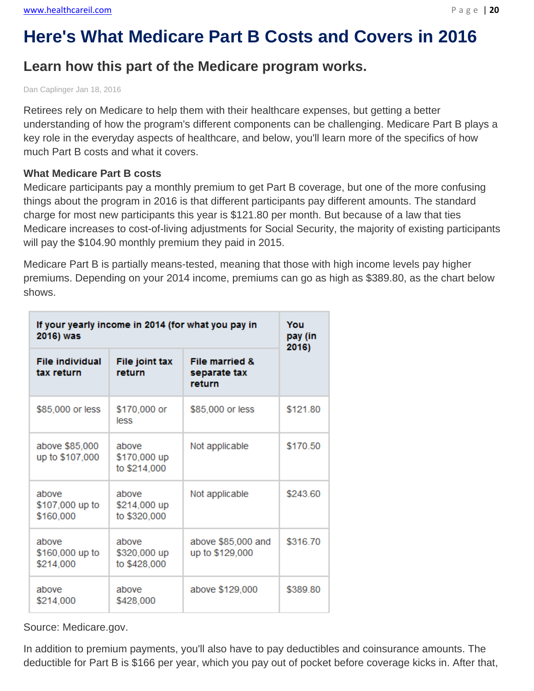# **Here's What Medicare Part B Costs and Covers in 2016**

## **Learn how this part of the Medicare program works.**

Dan Caplinger Jan 18, 2016

Retirees rely on Medicare to help them with their healthcare expenses, but getting a better understanding of how the program's different components can be challenging. Medicare Part B plays a key role in the everyday aspects of healthcare, and below, you'll learn more of the specifics of how much Part B costs and what it covers.

#### **What Medicare Part B costs**

Medicare participants pay a monthly premium to get Part B coverage, but one of the more confusing things about the program in 2016 is that different participants pay different amounts. The standard charge for most new participants this year is \$121.80 per month. But because of a law that ties Medicare increases to cost-of-living adjustments for Social Security, the majority of existing participants will pay the \$104.90 monthly premium they paid in 2015.

Medicare Part B is partially means-tested, meaning that those with high income levels pay higher premiums. Depending on your 2014 income, premiums can go as high as \$389.80, as the chart below shows.

| If your yearly income in 2014 (for what you pay in<br>2016) was |                                       |                                                     | You<br>pay (in<br>2016) |
|-----------------------------------------------------------------|---------------------------------------|-----------------------------------------------------|-------------------------|
| <b>File individual</b><br>tax return                            | File joint tax<br>return              | <b>File married &amp;</b><br>separate tax<br>return |                         |
| \$85,000 or less                                                | \$170,000 or<br>less                  | \$85,000 or less                                    | \$121.80                |
| above \$85,000<br>up to \$107,000                               | above<br>\$170,000 up<br>to \$214,000 | Not applicable                                      | \$170.50                |
| above<br>\$107,000 up to<br>\$160,000                           | above<br>\$214,000 up<br>to \$320,000 | Not applicable                                      | \$243.60                |
| above<br>\$160,000 up to<br>\$214,000                           | above<br>\$320,000 up<br>to \$428,000 | above \$85,000 and<br>up to \$129,000               | \$316.70                |
| above<br>\$214,000                                              | above<br>\$428,000                    | above \$129,000                                     | \$389.80                |

Source: Medicare.gov.

In addition to premium payments, you'll also have to pay deductibles and coinsurance amounts. The deductible for Part B is \$166 per year, which you pay out of pocket before coverage kicks in. After that,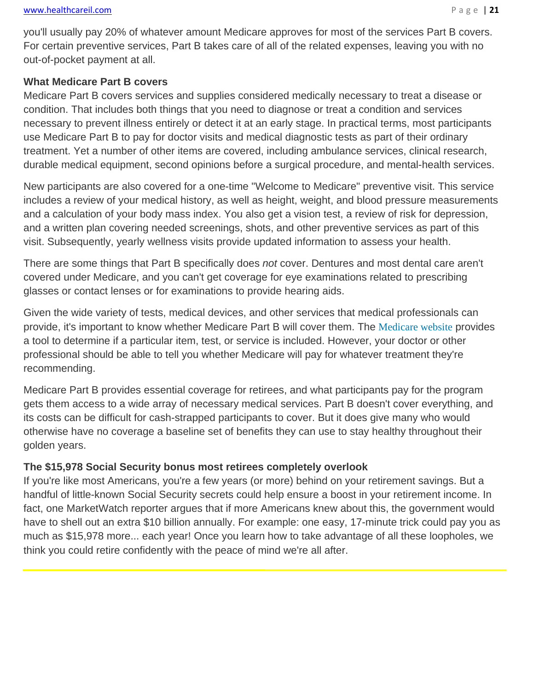#### **What Medicare Part B covers**

Medicare Part B covers services and supplies considered medically necessary to treat a disease or condition. That includes both things that you need to diagnose or treat a condition and services necessary to prevent illness entirely or detect it at an early stage. In practical terms, most participants use Medicare Part B to pay for doctor visits and medical diagnostic tests as part of their ordinary treatment. Yet a number of other items are covered, including ambulance services, clinical research, durable medical equipment, second opinions before a surgical procedure, and mental-health services.

New participants are also covered for a one-time "Welcome to Medicare" preventive visit. This service includes a review of your medical history, as well as height, weight, and blood pressure measurements and a calculation of your body mass index. You also get a vision test, a review of risk for depression, and a written plan covering needed screenings, shots, and other preventive services as part of this visit. Subsequently, yearly wellness visits provide updated information to assess your health.

There are some things that Part B specifically does *not* cover. Dentures and most dental care aren't covered under Medicare, and you can't get coverage for eye examinations related to prescribing glasses or contact lenses or for examinations to provide hearing aids.

Given the wide variety of tests, medical devices, and other services that medical professionals can provide, it's important to know whether Medicare Part B will cover them. The Medicare website provides a tool to determine if a particular item, test, or service is included. However, your doctor or other professional should be able to tell you whether Medicare will pay for whatever treatment they're recommending.

Medicare Part B provides essential coverage for retirees, and what participants pay for the program gets them access to a wide array of necessary medical services. Part B doesn't cover everything, and its costs can be difficult for cash-strapped participants to cover. But it does give many who would otherwise have no coverage a baseline set of benefits they can use to stay healthy throughout their golden years.

#### **The \$15,978 Social Security bonus most retirees completely overlook**

If you're like most Americans, you're a few years (or more) behind on your retirement savings. But a handful of little-known Social Security secrets could help ensure a boost in your retirement income. In fact, one MarketWatch reporter argues that if more Americans knew about this, the government would have to shell out an extra \$10 billion annually. For example: one easy, 17-minute trick could pay you as much as \$15,978 more... each year! Once you learn how to take advantage of all these loopholes, we think you could retire confidently with the peace of mind we're all after.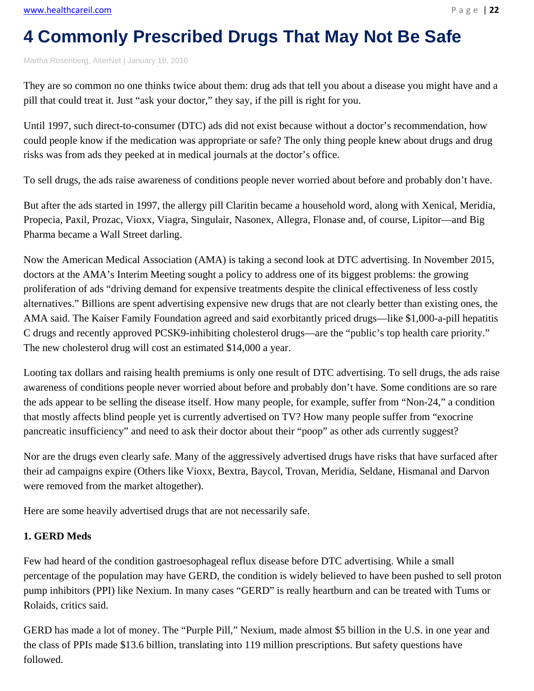# **4 Commonly Prescribed Drugs That May Not Be Safe**

Martha Rosenberg, AlterNet | January 18, 2016

They are so common no one thinks twice about them: drug ads that tell you about a disease you might have and a pill that could treat it. Just "ask your doctor," they say, if the pill is right for you.

Until 1997, such direct-to-consumer (DTC) ads did not exist because without a doctor's recommendation, how could people know if the medication was appropriate or safe? The only thing people knew about drugs and drug risks was from ads they peeked at in medical journals at the doctor's office.

To sell drugs, the ads raise awareness of conditions people never worried about before and probably don't have.

But after the ads started in 1997, the allergy pill Claritin became a household word, along with Xenical, Meridia, Propecia, Paxil, Prozac, Vioxx, Viagra, Singulair, Nasonex, Allegra, Flonase and, of course, Lipitor—and Big Pharma became a Wall Street darling.

Now the American Medical Association (AMA) is taking a second look at DTC advertising. In November 2015, doctors at the AMA's Interim Meeting sought a policy to address one of its biggest problems: the growing proliferation of ads "driving demand for expensive treatments despite the clinical effectiveness of less costly alternatives." Billions are spent advertising expensive new drugs that are not clearly better than existing ones, the AMA said. The Kaiser Family Foundation agreed and said exorbitantly priced drugs—like \$1,000-a-pill hepatitis C drugs and recently approved PCSK9-inhibiting cholesterol drugs—are the "public's top health care priority." The new cholesterol drug will cost an estimated \$14,000 a year.

Looting tax dollars and raising health premiums is only one result of DTC advertising. To sell drugs, the ads raise awareness of conditions people never worried about before and probably don't have. Some conditions are so rare the ads appear to be selling the disease itself. How many people, for example, suffer from "Non-24," a condition that mostly affects blind people yet is currently advertised on TV? How many people suffer from "exocrine pancreatic insufficiency" and need to ask their doctor about their "poop" as other ads currently suggest?

Nor are the drugs even clearly safe. Many of the aggressively advertised drugs have risks that have surfaced after their ad campaigns expire (Others like Vioxx, Bextra, Baycol, Trovan, Meridia, Seldane, Hismanal and Darvon were removed from the market altogether).

Here are some heavily advertised drugs that are not necessarily safe.

#### **1. GERD Meds**

Few had heard of the condition gastroesophageal reflux disease before DTC advertising. While a small percentage of the population may have GERD, the condition is widely believed to have been pushed to sell proton pump inhibitors (PPI) like Nexium. In many cases "GERD" is really heartburn and can be treated with Tums or Rolaids, critics said.

GERD has made a lot of money. The "Purple Pill," Nexium, made almost \$5 billion in the U.S. in one year and the class of PPIs made \$13.6 billion, translating into 119 million prescriptions. But safety questions have followed.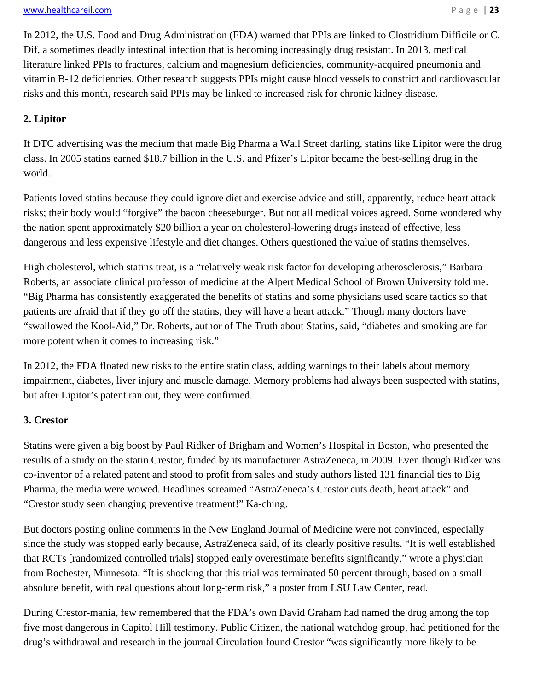In 2012, the U.S. Food and Drug Administration (FDA) warned that PPIs are linked to Clostridium Difficile or C. Dif, a sometimes deadly intestinal infection that is becoming increasingly drug resistant. In 2013, medical literature linked PPIs to fractures, calcium and magnesium deficiencies, community-acquired pneumonia and vitamin B-12 deficiencies. Other research suggests PPIs might cause blood vessels to constrict and cardiovascular risks and this month, research said PPIs may be linked to increased risk for chronic kidney disease.

#### **2. Lipitor**

If DTC advertising was the medium that made Big Pharma a Wall Street darling, statins like Lipitor were the drug class. In 2005 statins earned \$18.7 billion in the U.S. and Pfizer's Lipitor became the best-selling drug in the world.

Patients loved statins because they could ignore diet and exercise advice and still, apparently, reduce heart attack risks; their body would "forgive" the bacon cheeseburger. But not all medical voices agreed. Some wondered why the nation spent approximately \$20 billion a year on cholesterol-lowering drugs instead of effective, less dangerous and less expensive lifestyle and diet changes. Others questioned the value of statins themselves.

High cholesterol, which statins treat, is a "relatively weak risk factor for developing atherosclerosis," Barbara Roberts, an associate clinical professor of medicine at the Alpert Medical School of Brown University told me. "Big Pharma has consistently exaggerated the benefits of statins and some physicians used scare tactics so that patients are afraid that if they go off the statins, they will have a heart attack." Though many doctors have "swallowed the Kool-Aid," Dr. Roberts, author of The Truth about Statins, said, "diabetes and smoking are far more potent when it comes to increasing risk."

In 2012, the FDA floated new risks to the entire statin class, adding warnings to their labels about memory impairment, diabetes, liver injury and muscle damage. Memory problems had always been suspected with statins, but after Lipitor's patent ran out, they were confirmed.

#### **3. Crestor**

Statins were given a big boost by Paul Ridker of Brigham and Women's Hospital in Boston, who presented the results of a study on the statin Crestor, funded by its manufacturer AstraZeneca, in 2009. Even though Ridker was co-inventor of a related patent and stood to profit from sales and study authors listed 131 financial ties to Big Pharma, the media were wowed. Headlines screamed "AstraZeneca's Crestor cuts death, heart attack" and "Crestor study seen changing preventive treatment!" Ka-ching.

But doctors posting online comments in the New England Journal of Medicine were not convinced, especially since the study was stopped early because, AstraZeneca said, of its clearly positive results. "It is well established that RCTs [randomized controlled trials] stopped early overestimate benefits significantly," wrote a physician from Rochester, Minnesota. "It is shocking that this trial was terminated 50 percent through, based on a small absolute benefit, with real questions about long-term risk," a poster from LSU Law Center, read.

During Crestor-mania, few remembered that the FDA's own David Graham had named the drug among the top five most dangerous in Capitol Hill testimony. Public Citizen, the national watchdog group, had petitioned for the drug's withdrawal and research in the journal Circulation found Crestor "was significantly more likely to be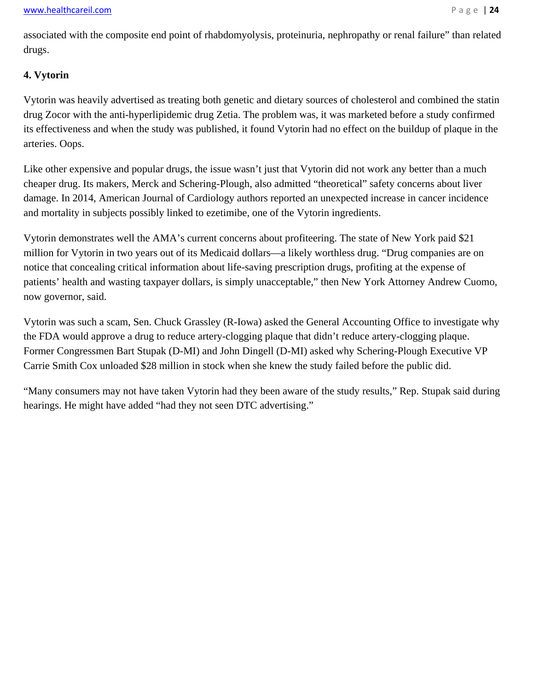associated with the composite end point of rhabdomyolysis, proteinuria, nephropathy or renal failure" than related drugs.

#### **4. Vytorin**

Vytorin was heavily advertised as treating both genetic and dietary sources of cholesterol and combined the statin drug Zocor with the anti-hyperlipidemic drug Zetia. The problem was, it was marketed before a study confirmed its effectiveness and when the study was published, it found Vytorin had no effect on the buildup of plaque in the arteries. Oops.

Like other expensive and popular drugs, the issue wasn't just that Vytorin did not work any better than a much cheaper drug. Its makers, Merck and Schering-Plough, also admitted "theoretical" safety concerns about liver damage. In 2014, American Journal of Cardiology authors reported an unexpected increase in cancer incidence and mortality in subjects possibly linked to ezetimibe, one of the Vytorin ingredients.

Vytorin demonstrates well the AMA's current concerns about profiteering. The state of New York paid \$21 million for Vytorin in two years out of its Medicaid dollars—a likely worthless drug. "Drug companies are on notice that concealing critical information about life-saving prescription drugs, profiting at the expense of patients' health and wasting taxpayer dollars, is simply unacceptable," then New York Attorney Andrew Cuomo, now governor, said.

Vytorin was such a scam, Sen. Chuck Grassley (R-Iowa) asked the General Accounting Office to investigate why the FDA would approve a drug to reduce artery-clogging plaque that didn't reduce artery-clogging plaque. Former Congressmen Bart Stupak (D-MI) and John Dingell (D-MI) asked why Schering-Plough Executive VP Carrie Smith Cox unloaded \$28 million in stock when she knew the study failed before the public did.

"Many consumers may not have taken Vytorin had they been aware of the study results," Rep. Stupak said during hearings. He might have added "had they not seen DTC advertising."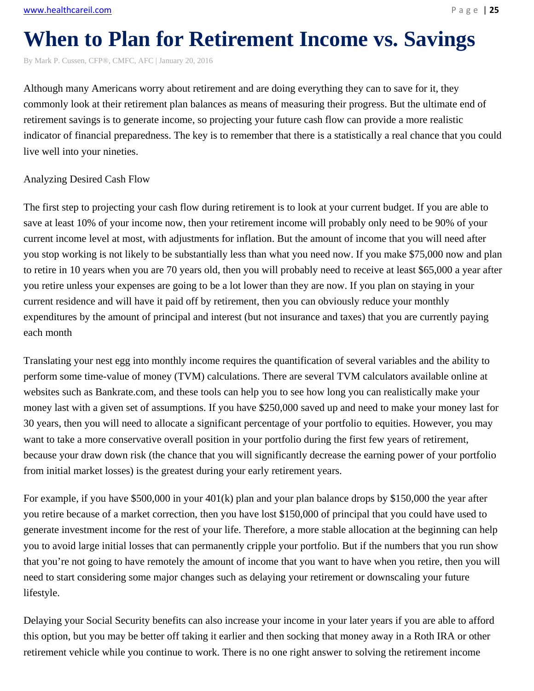# **When to Plan for Retirement Income vs. Savings**

By Mark P. Cussen, CFP®, CMFC, AFC | January 20, 2016

Although many Americans worry about retirement and are doing everything they can to save for it, they commonly look at their retirement plan balances as means of measuring their progress. But the ultimate end of retirement savings is to generate income, so projecting your future cash flow can provide a more realistic indicator of financial preparedness. The key is to remember that there is a statistically a real chance that you could live well into your nineties.

#### Analyzing Desired Cash Flow

The first step to projecting your cash flow during retirement is to look at your current budget. If you are able to save at least 10% of your income now, then your retirement income will probably only need to be 90% of your current income level at most, with adjustments for inflation. But the amount of income that you will need after you stop working is not likely to be substantially less than what you need now. If you make \$75,000 now and plan to retire in 10 years when you are 70 years old, then you will probably need to receive at least \$65,000 a year after you retire unless your expenses are going to be a lot lower than they are now. If you plan on staying in your current residence and will have it paid off by retirement, then you can obviously reduce your monthly expenditures by the amount of principal and interest (but not insurance and taxes) that you are currently paying each month

Translating your nest egg into monthly income requires the quantification of several variables and the ability to perform some time-value of money (TVM) calculations. There are several TVM calculators available online at websites such as Bankrate.com, and these tools can help you to see how long you can realistically make your money last with a given set of assumptions. If you have \$250,000 saved up and need to make your money last for 30 years, then you will need to allocate a significant percentage of your portfolio to equities. However, you may want to take a more conservative overall position in your portfolio during the first few years of retirement, because your draw down risk (the chance that you will significantly decrease the earning power of your portfolio from initial market losses) is the greatest during your early retirement years.

For example, if you have \$500,000 in your 401(k) plan and your plan balance drops by \$150,000 the year after you retire because of a market correction, then you have lost \$150,000 of principal that you could have used to generate investment income for the rest of your life. Therefore, a more stable allocation at the beginning can help you to avoid large initial losses that can permanently cripple your portfolio. But if the numbers that you run show that you're not going to have remotely the amount of income that you want to have when you retire, then you will need to start considering some major changes such as delaying your retirement or downscaling your future lifestyle.

Delaying your Social Security benefits can also increase your income in your later years if you are able to afford this option, but you may be better off taking it earlier and then socking that money away in a Roth IRA or other retirement vehicle while you continue to work. There is no one right answer to solving the retirement income